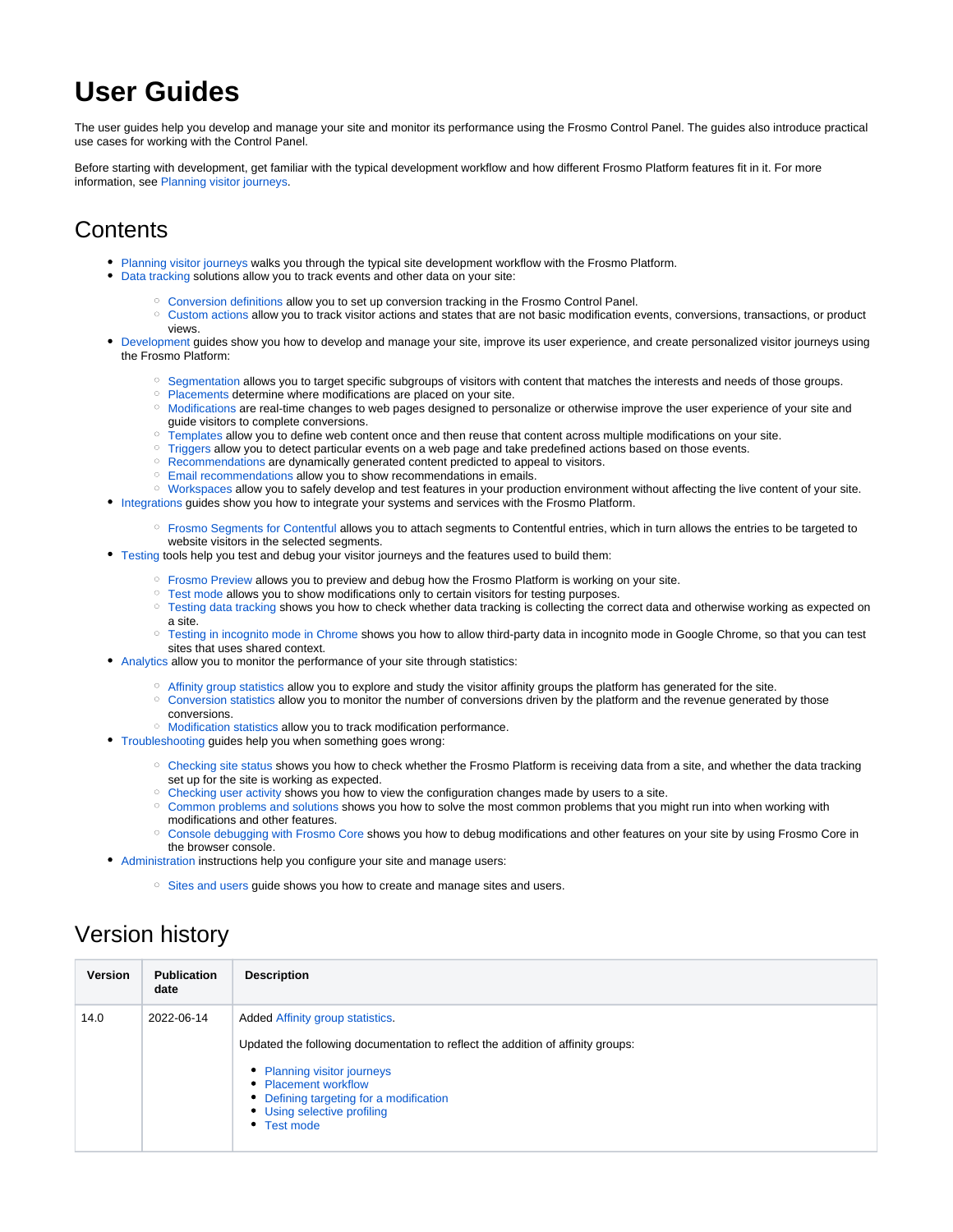## **User Guides**

The user guides help you develop and manage your site and monitor its performance using the Frosmo Control Panel. The guides also introduce practical use cases for working with the Control Panel.

Before starting with development, get familiar with the typical development workflow and how different Frosmo Platform features fit in it. For more information, see [Planning visitor journeys.](https://docs.frosmo.com/display/ui/Planning+visitor+journeys)

## **Contents**

- [Planning visitor journeys](https://docs.frosmo.com/display/ui/Planning+visitor+journeys) walks you through the typical site development workflow with the Frosmo Platform.
- [Data tracking](https://docs.frosmo.com/display/ui/Data+tracking) solutions allow you to track events and other data on your site:
	- <sup>o</sup> [Conversion definitions](https://docs.frosmo.com/display/ui/Conversion+definitions) allow you to set up conversion tracking in the Frosmo Control Panel.
		- $\circ$ [Custom actions](https://docs.frosmo.com/display/ui/Custom+actions) allow you to track visitor actions and states that are not basic modification events, conversions, transactions, or product views.
- **[Development](https://docs.frosmo.com/display/ui/Development) guides show you how to develop and manage your site, improve its user experience, and create personalized visitor journeys using** the Frosmo Platform:
	- <sup>o</sup> [Segmentation](https://docs.frosmo.com/display/ui/Segmentation) allows you to target specific subgroups of visitors with content that matches the interests and needs of those groups.
	- <sup>o</sup> [Placements](https://docs.frosmo.com/display/ui/Placements) determine where modifications are placed on your site.
	- [Modifications](https://docs.frosmo.com/display/ui/Modifications) are real-time changes to web pages designed to personalize or otherwise improve the user experience of your site and guide visitors to complete conversions.
	- $\circ$  [Templates](https://docs.frosmo.com/display/ui/Templates) allow you to define web content once and then reuse that content across multiple modifications on your site.
	- <sup>o</sup> [Triggers](https://docs.frosmo.com/display/ui/Triggers) allow you to detect particular events on a web page and take predefined actions based on those events.
	- o [Recommendations](https://docs.frosmo.com/display/ui/Recommendations) are dynamically generated content predicted to appeal to visitors.
	- [Email recommendations](https://docs.frosmo.com/display/ui/Email+recommendations) allow you to show recommendations in emails.
- o [Workspaces](https://docs.frosmo.com/display/ui/Workspaces) allow you to safely develop and test features in your production environment without affecting the live content of your site. [Integrations](https://docs.frosmo.com/display/ui/Integrations) guides show you how to integrate your systems and services with the Frosmo Platform.
	- [Frosmo Segments for Contentful](https://docs.frosmo.com/display/ui/Contentful) allows you to attach segments to Contentful entries, which in turn allows the entries to be targeted to website visitors in the selected segments.
- [Testing](https://docs.frosmo.com/display/ui/Testing) tools help you test and debug your visitor journeys and the features used to build them:
	- <sup>o</sup> [Frosmo Preview](https://docs.frosmo.com/display/ui/Frosmo+Preview) allows you to preview and debug how the Frosmo Platform is working on your site.
	- <sup>o</sup> [Test mode](https://docs.frosmo.com/display/ui/Test+mode) allows you to show modifications only to certain visitors for testing purposes.
	- <sup>o</sup> [Testing data tracking](https://docs.frosmo.com/display/ui/Testing+data+tracking) shows you how to check whether data tracking is collecting the correct data and otherwise working as expected on a site.
	- <sup>o</sup> [Testing in incognito mode in Chrome](https://docs.frosmo.com/display/ui/Testing+in+incognito+mode+in+Chrome) shows you how to allow third-party data in incognito mode in Google Chrome, so that you can test sites that uses shared context.
- [Analytics](https://docs.frosmo.com/display/ui/Analytics) allow you to monitor the performance of your site through statistics:
	- $\circ$  [Affinity group statistics](https://docs.frosmo.com/display/ui/Affinity+group+statistics) allow you to explore and study the visitor affinity groups the platform has generated for the site.
	- [Conversion statistics](https://docs.frosmo.com/display/ui/Conversion+statistics) allow you to monitor the number of conversions driven by the platform and the revenue generated by those conversions.
	- <sup>o</sup> [Modification statistics](https://docs.frosmo.com/display/ui/Modification+statistics) allow you to track modification performance.
- [Troubleshooting](https://docs.frosmo.com/display/ui/Troubleshooting) guides help you when something goes wrong:
	- [Checking site status](https://docs.frosmo.com/display/ui/Checking+site+status) shows you how to check whether the Frosmo Platform is receiving data from a site, and whether the data tracking set up for the site is working as expected.
	- <sup>o</sup> [Checking user activity](https://docs.frosmo.com/display/ui/Checking+user+activity) shows you how to view the configuration changes made by users to a site.
	- [Common problems and solutions](https://docs.frosmo.com/display/ui/Common+problems+and+solutions) shows you how to solve the most common problems that you might run into when working with modifications and other features.
	- [Console debugging with Frosmo Core](https://docs.frosmo.com/display/ui/Console+debugging+with+Frosmo+Core) shows you how to debug modifications and other features on your site by using Frosmo Core in the browser console.
- [Administration](https://docs.frosmo.com/display/ui/Administration) instructions help you configure your site and manage users:
	- <sup>o</sup> [Sites and users](https://docs.frosmo.com/display/ui/Sites+and+users) guide shows you how to create and manage sites and users.

## Version history

| <b>Version</b> | <b>Publication</b><br>date | <b>Description</b>                                                                                                                                                                                                                                                  |
|----------------|----------------------------|---------------------------------------------------------------------------------------------------------------------------------------------------------------------------------------------------------------------------------------------------------------------|
| 14.0           | 2022-06-14                 | Added Affinity group statistics.<br>Updated the following documentation to reflect the addition of affinity groups:<br>• Planning visitor journeys<br>• Placement workflow<br>• Defining targeting for a modification<br>• Using selective profiling<br>• Test mode |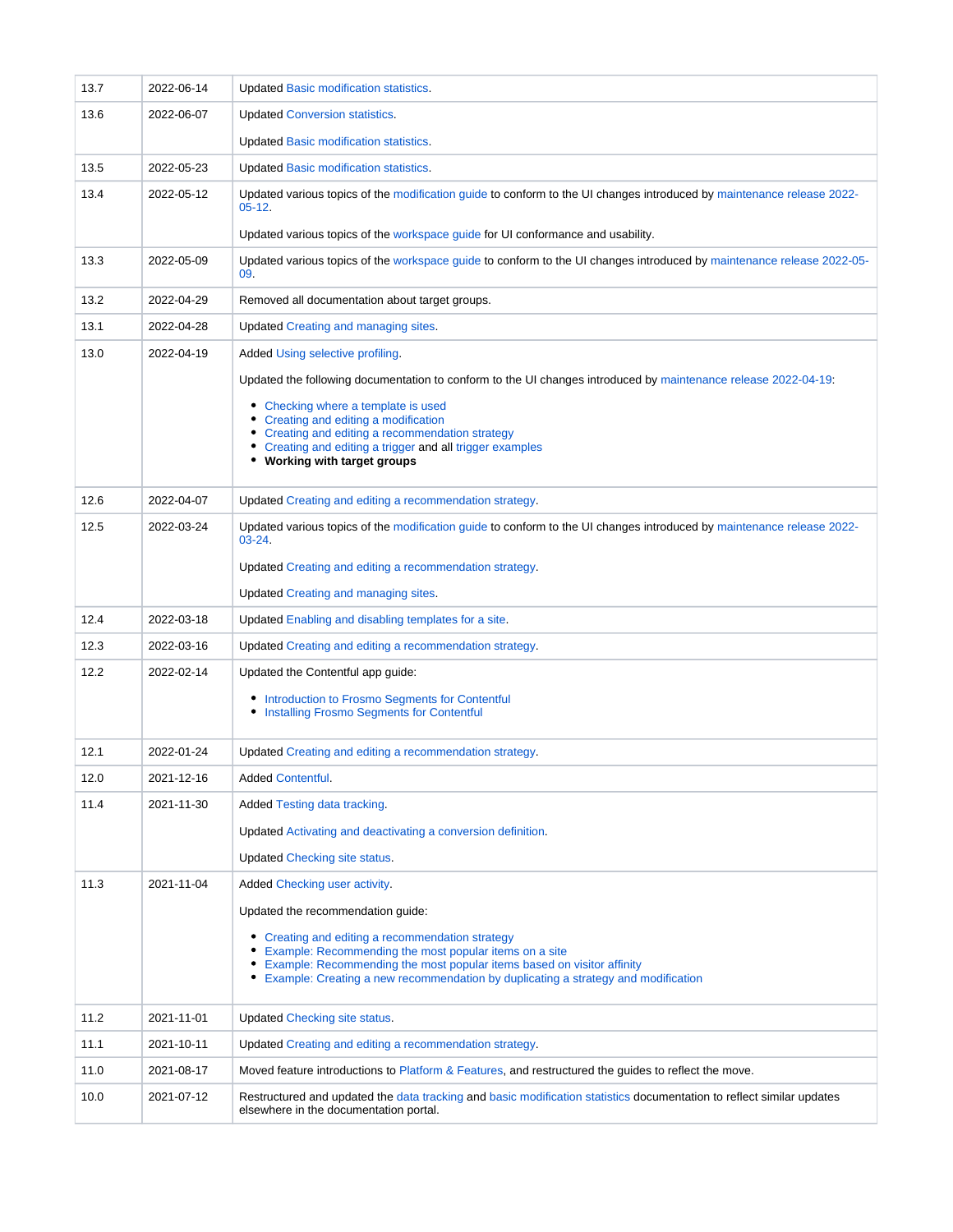| 13.7 | 2022-06-14 | <b>Updated Basic modification statistics.</b>                                                                                                                                                                                                                                                                                                                                       |
|------|------------|-------------------------------------------------------------------------------------------------------------------------------------------------------------------------------------------------------------------------------------------------------------------------------------------------------------------------------------------------------------------------------------|
| 13.6 | 2022-06-07 | <b>Updated Conversion statistics.</b>                                                                                                                                                                                                                                                                                                                                               |
|      |            | Updated Basic modification statistics.                                                                                                                                                                                                                                                                                                                                              |
| 13.5 | 2022-05-23 | <b>Updated Basic modification statistics.</b>                                                                                                                                                                                                                                                                                                                                       |
| 13.4 | 2022-05-12 | Updated various topics of the modification guide to conform to the UI changes introduced by maintenance release 2022-<br>$05-12.$                                                                                                                                                                                                                                                   |
|      |            | Updated various topics of the workspace guide for UI conformance and usability.                                                                                                                                                                                                                                                                                                     |
| 13.3 | 2022-05-09 | Updated various topics of the workspace guide to conform to the UI changes introduced by maintenance release 2022-05-<br>09.                                                                                                                                                                                                                                                        |
| 13.2 | 2022-04-29 | Removed all documentation about target groups.                                                                                                                                                                                                                                                                                                                                      |
| 13.1 | 2022-04-28 | Updated Creating and managing sites.                                                                                                                                                                                                                                                                                                                                                |
| 13.0 | 2022-04-19 | Added Using selective profiling.<br>Updated the following documentation to conform to the UI changes introduced by maintenance release 2022-04-19:<br>• Checking where a template is used<br>• Creating and editing a modification<br>• Creating and editing a recommendation strategy<br>• Creating and editing a trigger and all trigger examples<br>• Working with target groups |
| 12.6 | 2022-04-07 | Updated Creating and editing a recommendation strategy.                                                                                                                                                                                                                                                                                                                             |
| 12.5 | 2022-03-24 | Updated various topics of the modification guide to conform to the UI changes introduced by maintenance release 2022-<br>$03 - 24$                                                                                                                                                                                                                                                  |
|      |            | Updated Creating and editing a recommendation strategy.                                                                                                                                                                                                                                                                                                                             |
|      |            | Updated Creating and managing sites.                                                                                                                                                                                                                                                                                                                                                |
| 12.4 | 2022-03-18 | Updated Enabling and disabling templates for a site.                                                                                                                                                                                                                                                                                                                                |
| 12.3 | 2022-03-16 | Updated Creating and editing a recommendation strategy.                                                                                                                                                                                                                                                                                                                             |
| 12.2 | 2022-02-14 | Updated the Contentful app guide:                                                                                                                                                                                                                                                                                                                                                   |
|      |            | • Introduction to Frosmo Segments for Contentful<br>• Installing Frosmo Segments for Contentful                                                                                                                                                                                                                                                                                     |
| 12.1 | 2022-01-24 | Updated Creating and editing a recommendation strategy.                                                                                                                                                                                                                                                                                                                             |
| 12.0 | 2021-12-16 | <b>Added Contentful.</b>                                                                                                                                                                                                                                                                                                                                                            |
| 11.4 | 2021-11-30 | Added Testing data tracking.                                                                                                                                                                                                                                                                                                                                                        |
|      |            | Updated Activating and deactivating a conversion definition.                                                                                                                                                                                                                                                                                                                        |
|      |            | <b>Updated Checking site status.</b>                                                                                                                                                                                                                                                                                                                                                |
| 11.3 | 2021-11-04 | Added Checking user activity.                                                                                                                                                                                                                                                                                                                                                       |
|      |            | Updated the recommendation guide:                                                                                                                                                                                                                                                                                                                                                   |
|      |            | • Creating and editing a recommendation strategy<br>Example: Recommending the most popular items on a site<br>• Example: Recommending the most popular items based on visitor affinity<br>• Example: Creating a new recommendation by duplicating a strategy and modification                                                                                                       |
| 11.2 | 2021-11-01 | <b>Updated Checking site status.</b>                                                                                                                                                                                                                                                                                                                                                |
| 11.1 | 2021-10-11 | Updated Creating and editing a recommendation strategy.                                                                                                                                                                                                                                                                                                                             |
| 11.0 | 2021-08-17 | Moved feature introductions to Platform & Features, and restructured the guides to reflect the move.                                                                                                                                                                                                                                                                                |
| 10.0 | 2021-07-12 | Restructured and updated the data tracking and basic modification statistics documentation to reflect similar updates<br>elsewhere in the documentation portal.                                                                                                                                                                                                                     |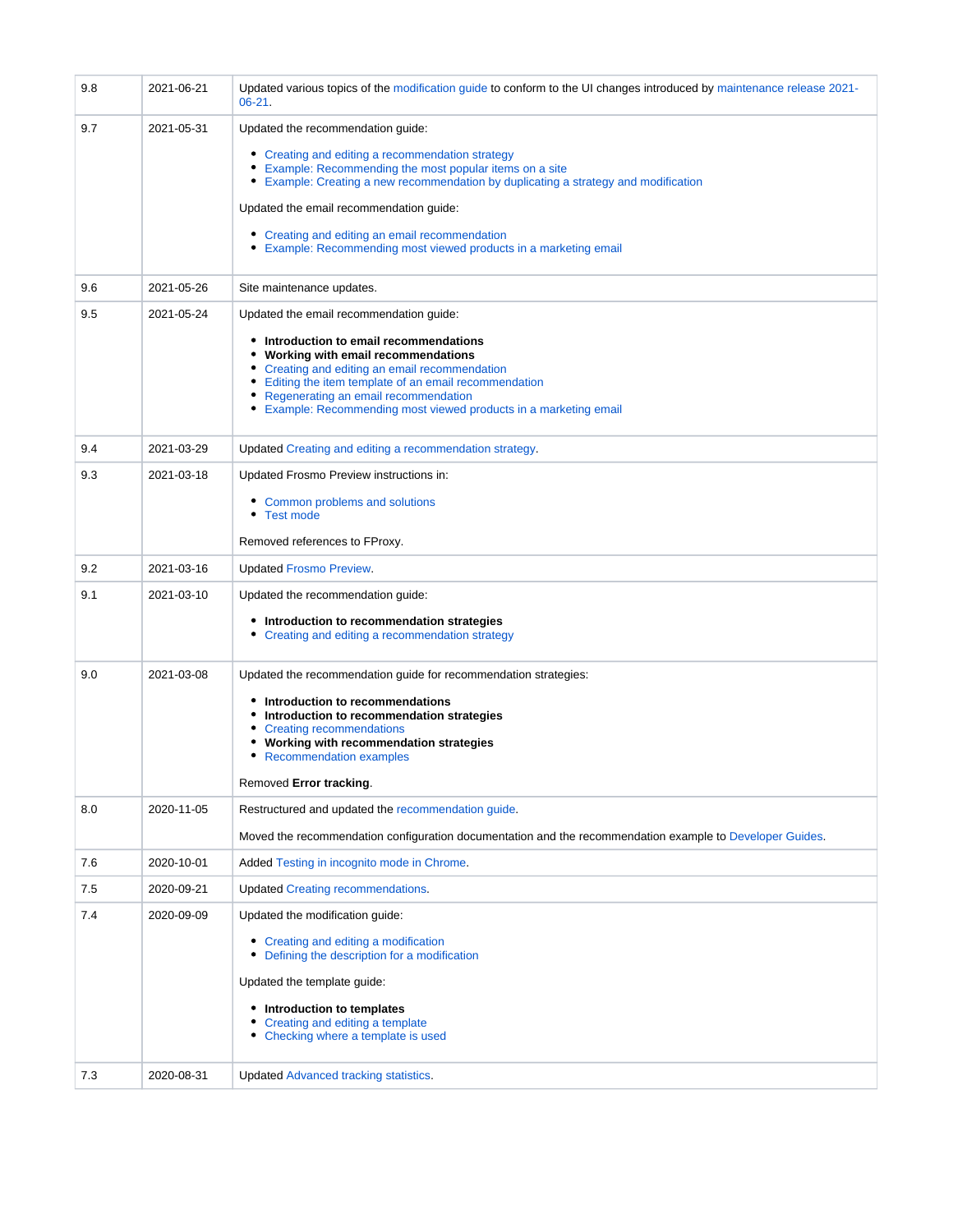| 9.8 | 2021-06-21 | Updated various topics of the modification guide to conform to the UI changes introduced by maintenance release 2021-<br>06-21.                                                                                                                                                                                                                                                                            |
|-----|------------|------------------------------------------------------------------------------------------------------------------------------------------------------------------------------------------------------------------------------------------------------------------------------------------------------------------------------------------------------------------------------------------------------------|
| 9.7 | 2021-05-31 | Updated the recommendation guide:<br>• Creating and editing a recommendation strategy<br>• Example: Recommending the most popular items on a site<br>• Example: Creating a new recommendation by duplicating a strategy and modification<br>Updated the email recommendation guide:<br>• Creating and editing an email recommendation<br>• Example: Recommending most viewed products in a marketing email |
| 9.6 | 2021-05-26 | Site maintenance updates.                                                                                                                                                                                                                                                                                                                                                                                  |
| 9.5 | 2021-05-24 | Updated the email recommendation guide:<br>• Introduction to email recommendations<br>• Working with email recommendations<br>• Creating and editing an email recommendation<br>Editing the item template of an email recommendation<br>• Regenerating an email recommendation<br>• Example: Recommending most viewed products in a marketing email                                                        |
| 9.4 | 2021-03-29 | Updated Creating and editing a recommendation strategy.                                                                                                                                                                                                                                                                                                                                                    |
| 9.3 | 2021-03-18 | Updated Frosmo Preview instructions in:<br>• Common problems and solutions<br>• Test mode<br>Removed references to FProxy.                                                                                                                                                                                                                                                                                 |
| 9.2 | 2021-03-16 | <b>Updated Frosmo Preview.</b>                                                                                                                                                                                                                                                                                                                                                                             |
| 9.1 | 2021-03-10 | Updated the recommendation guide:<br>• Introduction to recommendation strategies<br>• Creating and editing a recommendation strategy                                                                                                                                                                                                                                                                       |
| 9.0 | 2021-03-08 | Updated the recommendation guide for recommendation strategies:<br>• Introduction to recommendations<br>• Introduction to recommendation strategies<br>• Creating recommendations<br>• Working with recommendation strategies<br>• Recommendation examples<br>Removed Error tracking.                                                                                                                      |
| 8.0 | 2020-11-05 | Restructured and updated the recommendation guide.<br>Moved the recommendation configuration documentation and the recommendation example to Developer Guides.                                                                                                                                                                                                                                             |
| 7.6 | 2020-10-01 | Added Testing in incognito mode in Chrome.                                                                                                                                                                                                                                                                                                                                                                 |
| 7.5 | 2020-09-21 | <b>Updated Creating recommendations.</b>                                                                                                                                                                                                                                                                                                                                                                   |
| 7.4 | 2020-09-09 | Updated the modification guide:<br>• Creating and editing a modification<br>• Defining the description for a modification<br>Updated the template guide:<br>• Introduction to templates<br>Creating and editing a template<br>• Checking where a template is used                                                                                                                                          |
| 7.3 | 2020-08-31 | <b>Updated Advanced tracking statistics.</b>                                                                                                                                                                                                                                                                                                                                                               |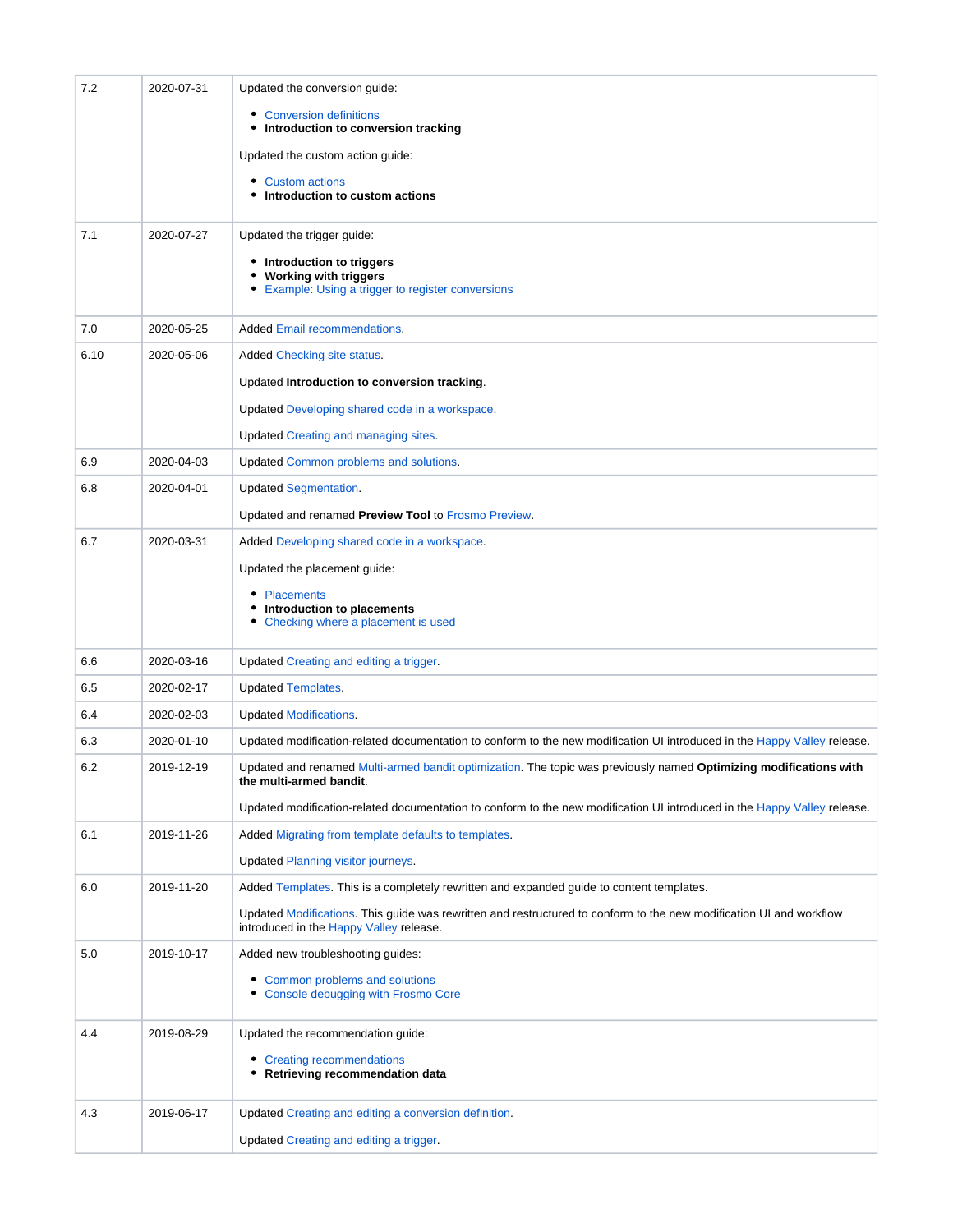| 7.2  | 2020-07-31 | Updated the conversion guide:                                                                                                                                  |
|------|------------|----------------------------------------------------------------------------------------------------------------------------------------------------------------|
|      |            | • Conversion definitions<br>• Introduction to conversion tracking                                                                                              |
|      |            | Updated the custom action guide:                                                                                                                               |
|      |            | • Custom actions                                                                                                                                               |
|      |            | • Introduction to custom actions                                                                                                                               |
| 7.1  | 2020-07-27 | Updated the trigger guide:                                                                                                                                     |
|      |            | • Introduction to triggers<br>• Working with triggers                                                                                                          |
|      |            | • Example: Using a trigger to register conversions                                                                                                             |
| 7.0  | 2020-05-25 | <b>Added Email recommendations.</b>                                                                                                                            |
| 6.10 | 2020-05-06 | Added Checking site status.                                                                                                                                    |
|      |            | Updated Introduction to conversion tracking.                                                                                                                   |
|      |            | Updated Developing shared code in a workspace.                                                                                                                 |
|      |            | Updated Creating and managing sites.                                                                                                                           |
| 6.9  | 2020-04-03 | Updated Common problems and solutions.                                                                                                                         |
| 6.8  | 2020-04-01 | <b>Updated Segmentation.</b>                                                                                                                                   |
|      |            | Updated and renamed Preview Tool to Frosmo Preview.                                                                                                            |
| 6.7  | 2020-03-31 | Added Developing shared code in a workspace.                                                                                                                   |
|      |            | Updated the placement guide:                                                                                                                                   |
|      |            | • Placements<br>• Introduction to placements                                                                                                                   |
|      |            | • Checking where a placement is used                                                                                                                           |
| 6.6  | 2020-03-16 | Updated Creating and editing a trigger.                                                                                                                        |
| 6.5  | 2020-02-17 | <b>Updated Templates</b>                                                                                                                                       |
| 6.4  | 2020-02-03 | <b>Updated Modifications.</b>                                                                                                                                  |
| 6.3  | 2020-01-10 | Updated modification-related documentation to conform to the new modification UI introduced in the Happy Valley release.                                       |
| 6.2  | 2019-12-19 | Updated and renamed Multi-armed bandit optimization. The topic was previously named Optimizing modifications with<br>the multi-armed bandit.                   |
|      |            | Updated modification-related documentation to conform to the new modification UI introduced in the Happy Valley release.                                       |
| 6.1  | 2019-11-26 | Added Migrating from template defaults to templates.                                                                                                           |
|      |            | Updated Planning visitor journeys.                                                                                                                             |
| 6.0  | 2019-11-20 | Added Templates. This is a completely rewritten and expanded guide to content templates.                                                                       |
|      |            | Updated Modifications. This guide was rewritten and restructured to conform to the new modification UI and workflow<br>introduced in the Happy Valley release. |
| 5.0  | 2019-10-17 | Added new troubleshooting guides:                                                                                                                              |
|      |            | • Common problems and solutions                                                                                                                                |
|      |            | • Console debugging with Frosmo Core                                                                                                                           |
| 4.4  | 2019-08-29 | Updated the recommendation guide:                                                                                                                              |
|      |            | • Creating recommendations                                                                                                                                     |
|      |            | • Retrieving recommendation data                                                                                                                               |
| 4.3  | 2019-06-17 | Updated Creating and editing a conversion definition.                                                                                                          |
|      |            | Updated Creating and editing a trigger.                                                                                                                        |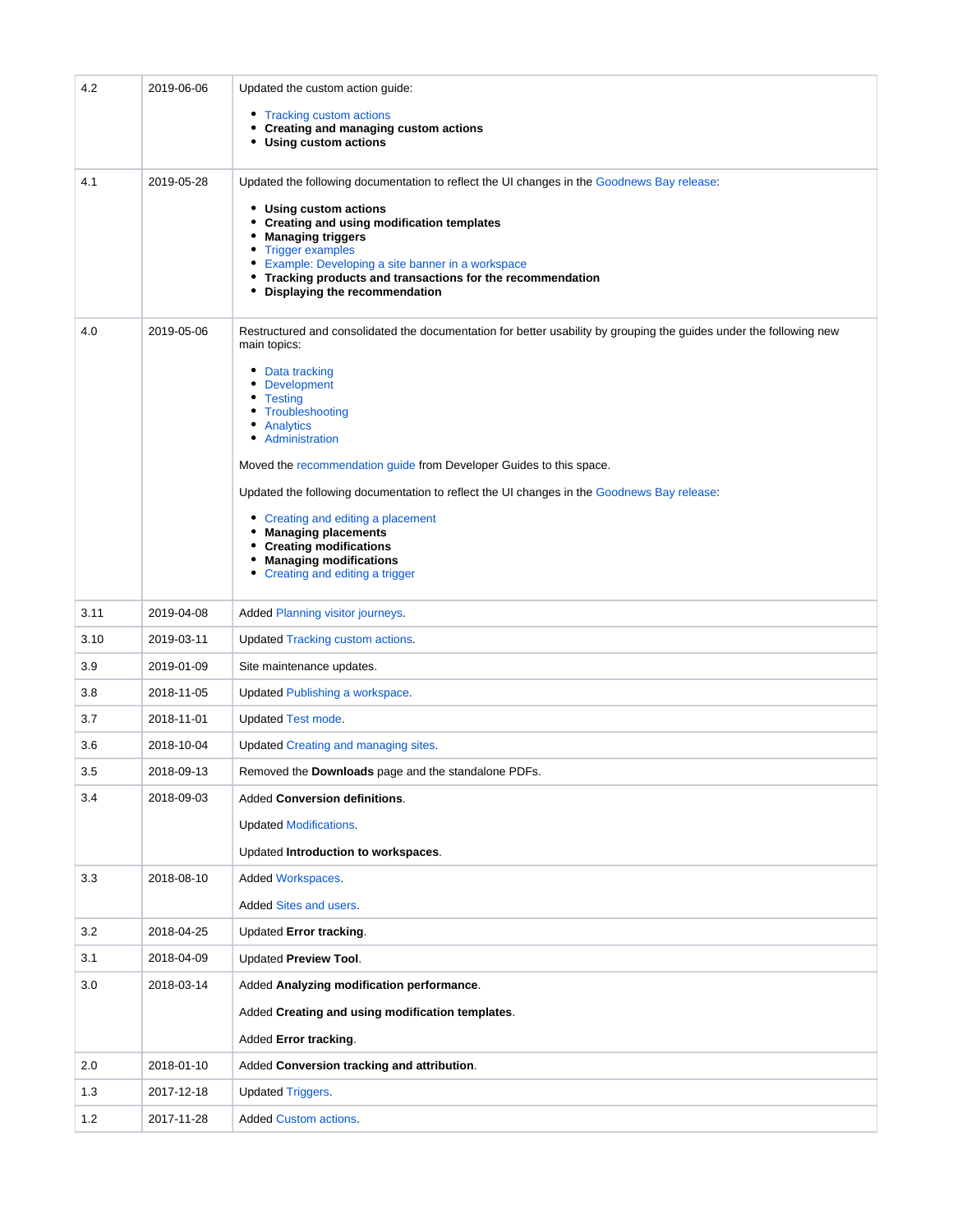| 4.2         | 2019-06-06               | Updated the custom action guide:                                                                                                    |
|-------------|--------------------------|-------------------------------------------------------------------------------------------------------------------------------------|
|             |                          | • Tracking custom actions                                                                                                           |
|             |                          | • Creating and managing custom actions<br>• Using custom actions                                                                    |
|             |                          |                                                                                                                                     |
| 4.1         | 2019-05-28               | Updated the following documentation to reflect the UI changes in the Goodnews Bay release:                                          |
|             |                          | • Using custom actions<br>• Creating and using modification templates                                                               |
|             |                          | • Managing triggers<br>• Trigger examples                                                                                           |
|             |                          | • Example: Developing a site banner in a workspace<br>• Tracking products and transactions for the recommendation                   |
|             |                          | • Displaying the recommendation                                                                                                     |
| 4.0         | 2019-05-06               | Restructured and consolidated the documentation for better usability by grouping the guides under the following new<br>main topics: |
|             |                          | • Data tracking                                                                                                                     |
|             |                          | • Development<br>• Testing                                                                                                          |
|             |                          | • Troubleshooting<br>• Analytics                                                                                                    |
|             |                          | • Administration                                                                                                                    |
|             |                          | Moved the recommendation guide from Developer Guides to this space.                                                                 |
|             |                          | Updated the following documentation to reflect the UI changes in the Goodnews Bay release:                                          |
|             |                          | • Creating and editing a placement                                                                                                  |
|             |                          | • Managing placements<br>• Creating modifications                                                                                   |
|             |                          | • Managing modifications<br>• Creating and editing a trigger                                                                        |
|             |                          |                                                                                                                                     |
| 3.11        | 2019-04-08               | Added Planning visitor journeys.                                                                                                    |
| 3.10<br>3.9 | 2019-03-11<br>2019-01-09 | Updated Tracking custom actions.<br>Site maintenance updates.                                                                       |
| 3.8         | 2018-11-05               | Updated Publishing a workspace.                                                                                                     |
| 3.7         | 2018-11-01               | <b>Updated Test mode.</b>                                                                                                           |
| 3.6         | 2018-10-04               | Updated Creating and managing sites.                                                                                                |
| 3.5         | 2018-09-13               | Removed the Downloads page and the standalone PDFs.                                                                                 |
| 3.4         | 2018-09-03               | Added Conversion definitions.                                                                                                       |
|             |                          | <b>Updated Modifications.</b>                                                                                                       |
|             |                          | Updated Introduction to workspaces.                                                                                                 |
| 3.3         | 2018-08-10               | <b>Added Workspaces.</b>                                                                                                            |
|             |                          | Added Sites and users.                                                                                                              |
| 3.2         | 2018-04-25               | Updated Error tracking.                                                                                                             |
| 3.1         | 2018-04-09               | Updated Preview Tool.                                                                                                               |
| 3.0         | 2018-03-14               | Added Analyzing modification performance.                                                                                           |
|             |                          | Added Creating and using modification templates.                                                                                    |
|             |                          | Added Error tracking.                                                                                                               |
| 2.0         | 2018-01-10               | Added Conversion tracking and attribution.                                                                                          |
| 1.3         | 2017-12-18               | <b>Updated Triggers.</b>                                                                                                            |
| 1.2         | 2017-11-28               | <b>Added Custom actions.</b>                                                                                                        |